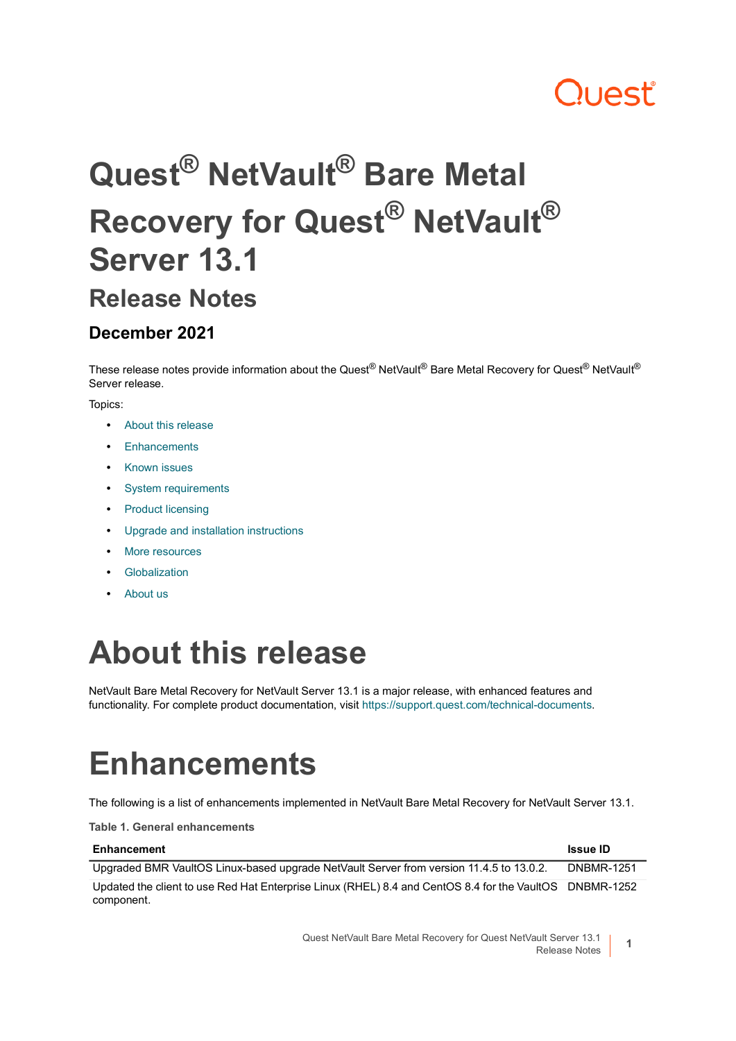## **Juest**

# **Quest® NetVault® Bare Metal Recovery for Quest® NetVault® Server 13.1**

#### **Release Notes**

#### **December 2021**

These release notes provide information about the Quest<sup>®</sup> NetVault<sup>®</sup> Bare Metal Recovery for Quest<sup>®</sup> NetVault<sup>®</sup> Server release.

Topics:

- **•** [About this release](#page-0-0)
- **•** [Enhancements](#page-0-1)
- **•** [Known issues](#page-1-0)
- **•** [System requirements](#page-1-1)
- **•** [Product licensing](#page-1-2)
- **•** [Upgrade and installation instructions](#page-2-0)
- **•** [More resources](#page-2-1)
- **•** [Globalization](#page-3-0)
- **•** [About us](#page-3-1)

### <span id="page-0-0"></span>**About this release**

NetVault Bare Metal Recovery for NetVault Server 13.1 is a major release, with enhanced features and functionality. For complete product documentation, visit [https://support.quest.com/technical-documents.](https://support.quest.com/technical-documents)

## <span id="page-0-1"></span>**Enhancements**

The following is a list of enhancements implemented in NetVault Bare Metal Recovery for NetVault Server 13.1.

**Table 1. General enhancements**

| Enhancement                                                                                             | <b>Issue ID</b>   |
|---------------------------------------------------------------------------------------------------------|-------------------|
| Upgraded BMR VaultOS Linux-based upgrade NetVault Server from version 11.4.5 to 13.0.2.                 | <b>DNBMR-1251</b> |
| Updated the client to use Red Hat Enterprise Linux (RHEL) 8.4 and CentOS 8.4 for the VaultOS DNBMR-1252 |                   |
| component.                                                                                              |                   |

Quest NetVault Bare Metal Recovery for Quest NetVault Server 13.1 ault Server 13.1 **1**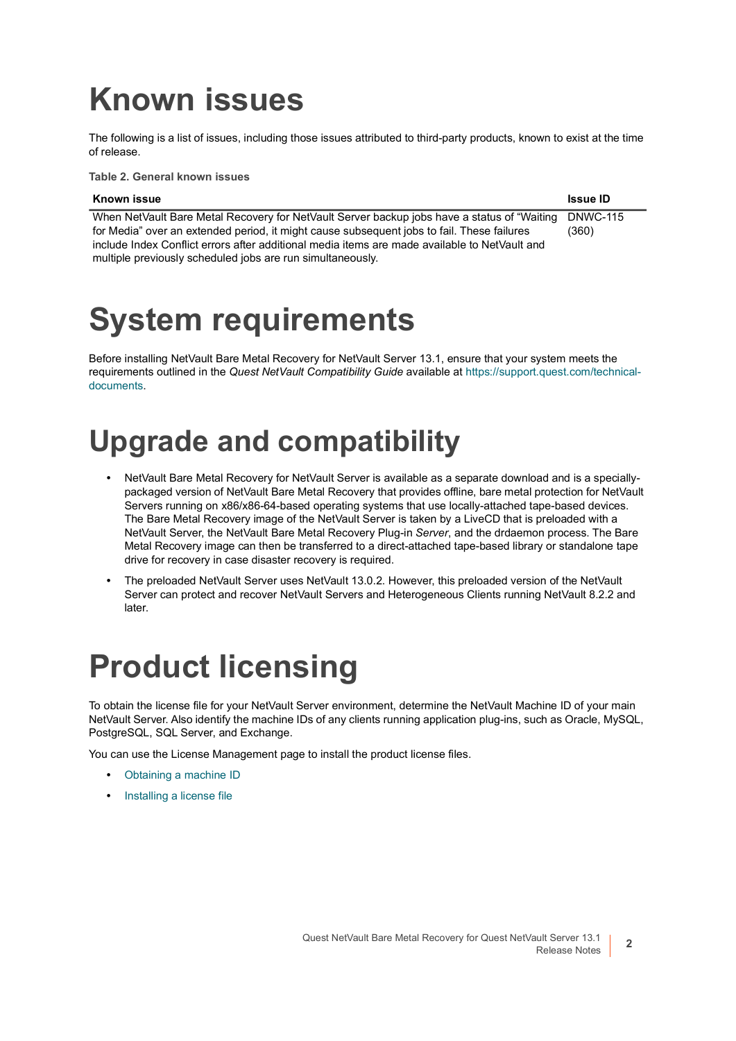### <span id="page-1-0"></span>**Known issues**

The following is a list of issues, including those issues attributed to third-party products, known to exist at the time of release.

**Table 2. General known issues**

#### **Known issue Issue ID**

When NetVault Bare Metal Recovery for NetVault Server backup jobs have a status of "Waiting for Media" over an extended period, it might cause subsequent jobs to fail. These failures include Index Conflict errors after additional media items are made available to NetVault and multiple previously scheduled jobs are run simultaneously. DNWC-115 (360)

### <span id="page-1-1"></span>**System requirements**

Before installing NetVault Bare Metal Recovery for NetVault Server 13.1, ensure that your system meets the requirements outlined in the *Quest NetVault Compatibility Guide* available at [https://support.quest.com/technical](https://support.quest.com/technical-documents)[documents.](https://support.quest.com/technical-documents)

### **Upgrade and compatibility**

- **•** NetVault Bare Metal Recovery for NetVault Server is available as a separate download and is a speciallypackaged version of NetVault Bare Metal Recovery that provides offline, bare metal protection for NetVault Servers running on x86/x86-64-based operating systems that use locally-attached tape-based devices. The Bare Metal Recovery image of the NetVault Server is taken by a LiveCD that is preloaded with a NetVault Server, the NetVault Bare Metal Recovery Plug-in *Server*, and the drdaemon process. The Bare Metal Recovery image can then be transferred to a direct-attached tape-based library or standalone tape drive for recovery in case disaster recovery is required.
- **•** The preloaded NetVault Server uses NetVault 13.0.2. However, this preloaded version of the NetVault Server can protect and recover NetVault Servers and Heterogeneous Clients running NetVault 8.2.2 and later.

### <span id="page-1-2"></span>**Product licensing**

To obtain the license file for your NetVault Server environment, determine the NetVault Machine ID of your main NetVault Server. Also identify the machine IDs of any clients running application plug-ins, such as Oracle, MySQL, PostgreSQL, SQL Server, and Exchange.

You can use the License Management page to install the product license files.

- **•** [Obtaining a machine ID](#page-2-2)
- **•** [Installing a license file](#page-2-3)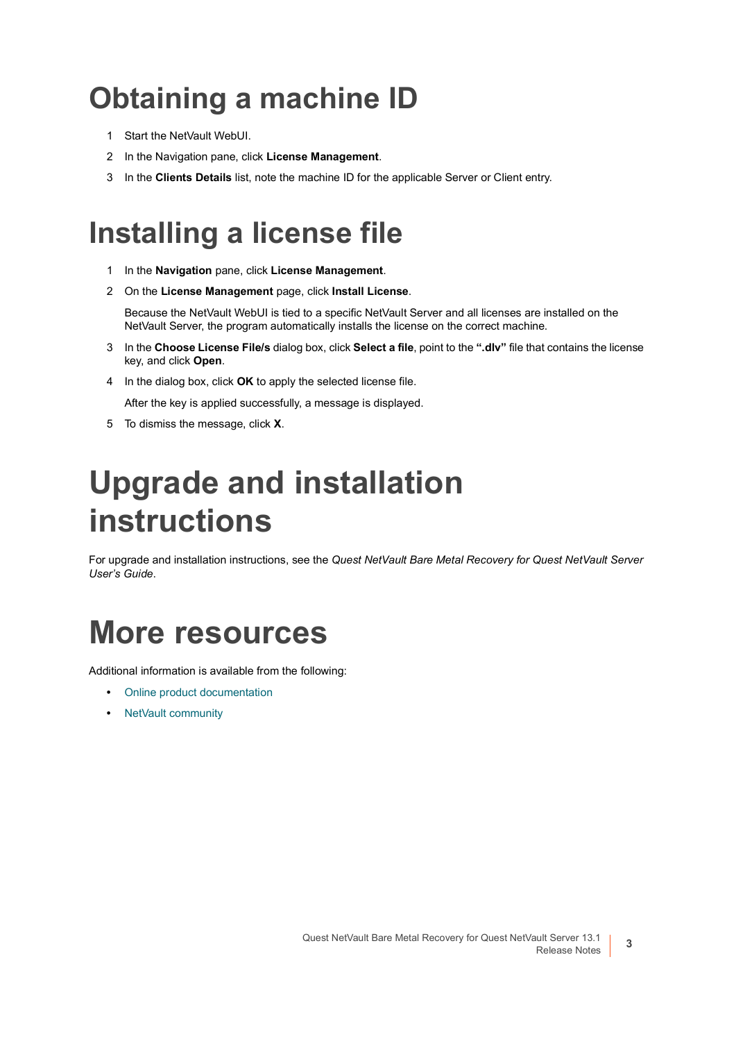#### <span id="page-2-2"></span>**Obtaining a machine ID**

- 1 Start the NetVault WebUI.
- 2 In the Navigation pane, click **License Management**.
- 3 In the **Clients Details** list, note the machine ID for the applicable Server or Client entry.

#### <span id="page-2-3"></span>**Installing a license file**

- 1 In the **Navigation** pane, click **License Management**.
- 2 On the **License Management** page, click **Install License**.

Because the NetVault WebUI is tied to a specific NetVault Server and all licenses are installed on the NetVault Server, the program automatically installs the license on the correct machine.

- 3 In the **Choose License File/s** dialog box, click **Select a file**, point to the **".dlv"** file that contains the license key, and click **Open**.
- 4 In the dialog box, click **OK** to apply the selected license file.

After the key is applied successfully, a message is displayed.

5 To dismiss the message, click **X**.

### <span id="page-2-0"></span>**Upgrade and installation instructions**

For upgrade and installation instructions, see the *Quest NetVault Bare Metal Recovery for Quest NetVault Server User's Guide*.

### <span id="page-2-1"></span>**More resources**

Additional information is available from the following:

- **•** [Online product documentation](https://support.quest.com/technical-documents/)
- **•** [NetVault community](https://www.quest.com/community/products/netvault/)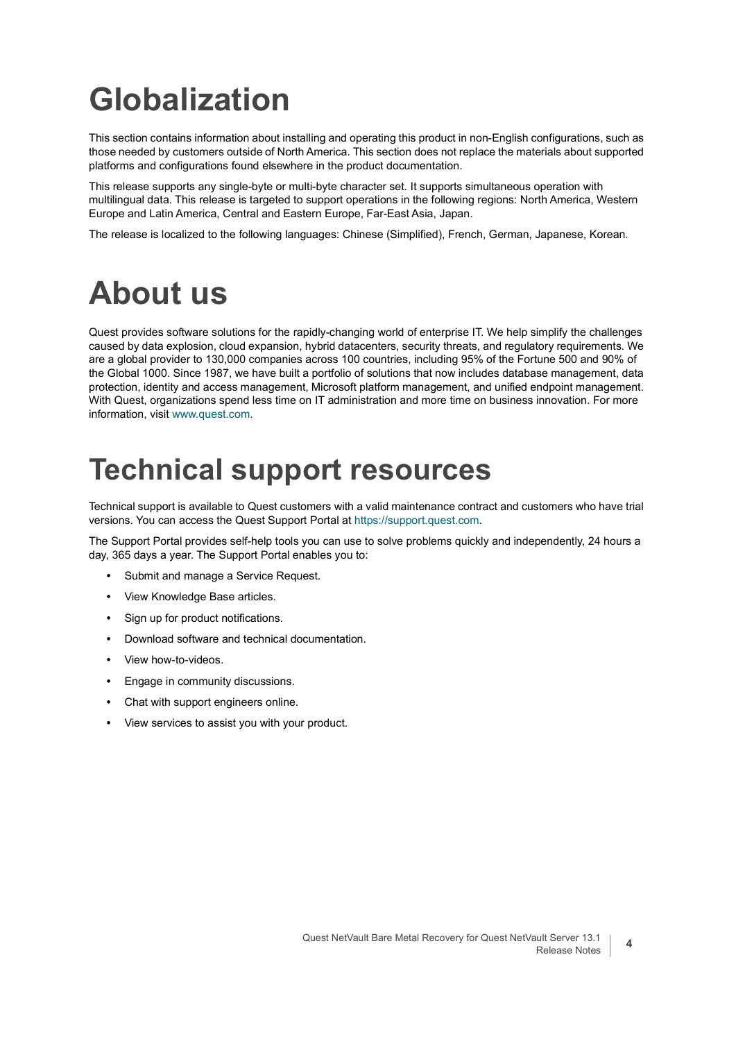## <span id="page-3-0"></span>**Globalization**

This section contains information about installing and operating this product in non-English configurations, such as those needed by customers outside of North America. This section does not replace the materials about supported platforms and configurations found elsewhere in the product documentation.

This release supports any single-byte or multi-byte character set. It supports simultaneous operation with multilingual data. This release is targeted to support operations in the following regions: North America, Western Europe and Latin America, Central and Eastern Europe, Far-East Asia, Japan.

The release is localized to the following languages: Chinese (Simplified), French, German, Japanese, Korean.

### <span id="page-3-1"></span>**About us**

Quest provides software solutions for the rapidly-changing world of enterprise IT. We help simplify the challenges caused by data explosion, cloud expansion, hybrid datacenters, security threats, and regulatory requirements. We are a global provider to 130,000 companies across 100 countries, including 95% of the Fortune 500 and 90% of the Global 1000. Since 1987, we have built a portfolio of solutions that now includes database management, data protection, identity and access management, Microsoft platform management, and unified endpoint management. With Quest, organizations spend less time on IT administration and more time on business innovation. For more information, visit [www.quest.com](https://www.quest.com/company/contact-us.aspx).

#### **Technical support resources**

Technical support is available to Quest customers with a valid maintenance contract and customers who have trial versions. You can access the Quest Support Portal at [https://support.quest.com.](https://support.quest.com)

The Support Portal provides self-help tools you can use to solve problems quickly and independently, 24 hours a day, 365 days a year. The Support Portal enables you to:

- **•** Submit and manage a Service Request.
- **•** View Knowledge Base articles.
- **•** Sign up for product notifications.
- **•** Download software and technical documentation.
- **•** View how-to-videos.
- **•** Engage in community discussions.
- **•** Chat with support engineers online.
- **•** View services to assist you with your product.